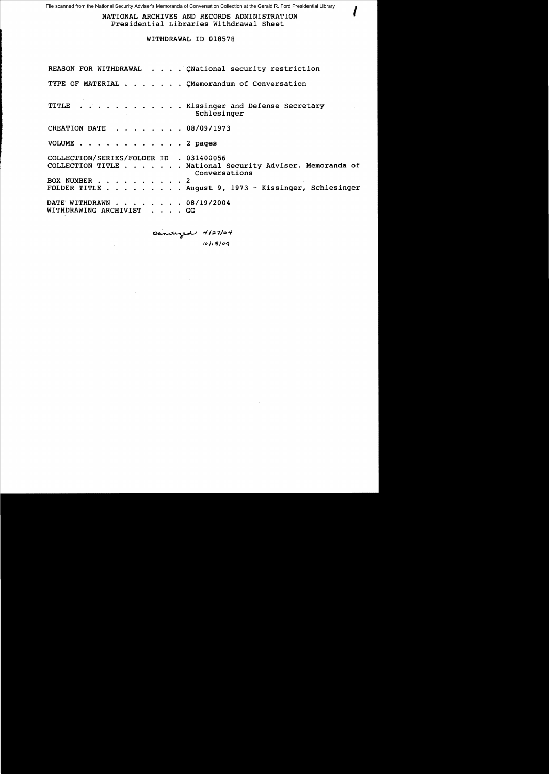File scanned from the National Security Adviser's Memoranda of Conversation Collection at the Gerald R. Ford Presidential Library

NATIONAL ARCHIVES AND RECORDS ADMINISTRATION Presidential Libraries Withdrawal Sheet

WITHDRAWAL ID 018578

|                                                       | REASON FOR WITHDRAWAL CNational security restriction                      |
|-------------------------------------------------------|---------------------------------------------------------------------------|
|                                                       | TYPE OF MATERIAL CMemorandum of Conversation                              |
|                                                       | TITLE Kissinger and Defense Secretary<br>Schlesinger                      |
| CREATION DATE 08/09/1973                              |                                                                           |
| VOLUME 2 pages                                        |                                                                           |
| COLLECTION/SERIES/FOLDER ID . 031400056               |                                                                           |
|                                                       | COLLECTION TITLE National Security Adviser. Memoranda of<br>Conversations |
|                                                       |                                                                           |
|                                                       | BOX NUMBER 2<br>FOLDER TITLE August 9, 1973 - Kissinger, Schlesinger      |
| DATE WITHDRAWN 08/19/2004<br>WITHDRAWING ARCHIVIST GG |                                                                           |

panaged 4/27/04 *lo/Js/oq*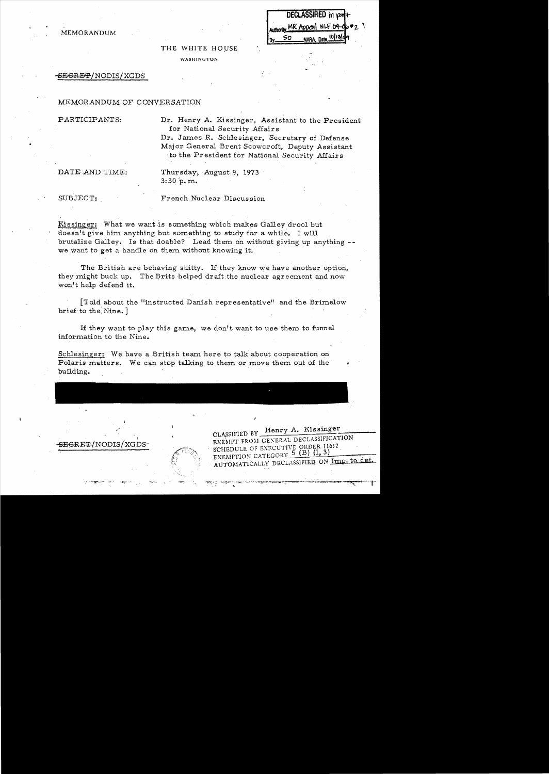|     |  | DECLASSIFIED in part-              |  |
|-----|--|------------------------------------|--|
|     |  | Authority MR Appeal NLF 04-06 #2 \ |  |
| By. |  | NARA, Date 10/13/09                |  |

THE WHITE HOUSE WASHINGTON

#### $S\to GRF$  / NODIS / XGDS

## MEMORANDUM OF CONVERSATION

P ARTICIPANTS:

MEMORANDUM

Dr. Henry A. Kissinger, Assistant to the President for National Security Affairs

CLASSIFIED BY Henry A. Kissinger

EXEMPTION CATEGORY  $5$  (B) (1, 3)

EXEMITT FROM GENERAL DECLASSIFICATION

AUTOMATICALLY DECLASSIFIED ON Imp. to det.

\_\_\_\_\_

Dr. James R. Schlesinger, Secretary of Defense Major General Brent Scowcroft, Deputy Assistant to the President for National Security Affairs

DATE AND TIME:

Thursday, August 9, 1973  $3:30$  p.m.

SUBJECT:

..

French Nuclear Discus sion

Kissinger: What we want is something which makes Galley drool but doesn't give him anything but something to study for a while. I will brutalize Galley. Is that doable? Lead them on without giving up anything we want to get a handle on them without knowing it.

The British are behaving shitty. If they know we have another option, they might buck up. The Brits helped draft the nuclear agreement and now won't help defend it.

[Told about the "instructed Danish representative" and the Brimelow brief to the: Nine. )

If they want to play this game, we don't want to use them to funnel information to the Nine.

Schlesinger: We have a British team here to talk about cooperation on Polaris matters. We can stop talking to them or move them out of the building.

SEGRET/NODIS/XGDS-<br>SCHEDULE OF EXECUTIVE ORDER 11652

I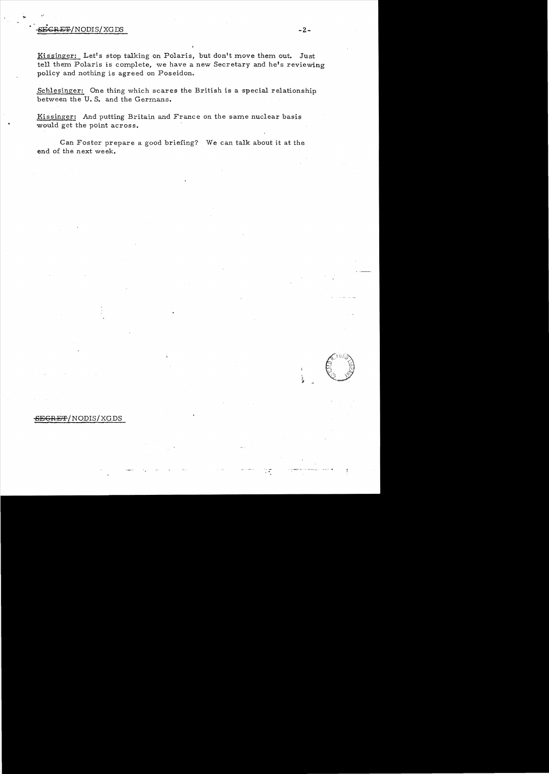#### $E_{\rm T}^{\rm T}$ /NODIS/XGDS  $-2$ -

Kissinger: Let's stop talking on Polaris, but don't move them out. Just tell them Polaris is complete, we have a new Secretary and **he's** reviewing policy and nothing is agreed on Poseidon.

Schlesinger: One thing which scares the British is a special relationship between the **U. S.** and the Germans.

Kissinger: And putting Britain and France on the same nuclear basis would get the point across.

Can Foster prepare a good briefing? We can talk about it at the end of the next week.

### **SEGR** E'F / NODIS/ XG DS

..